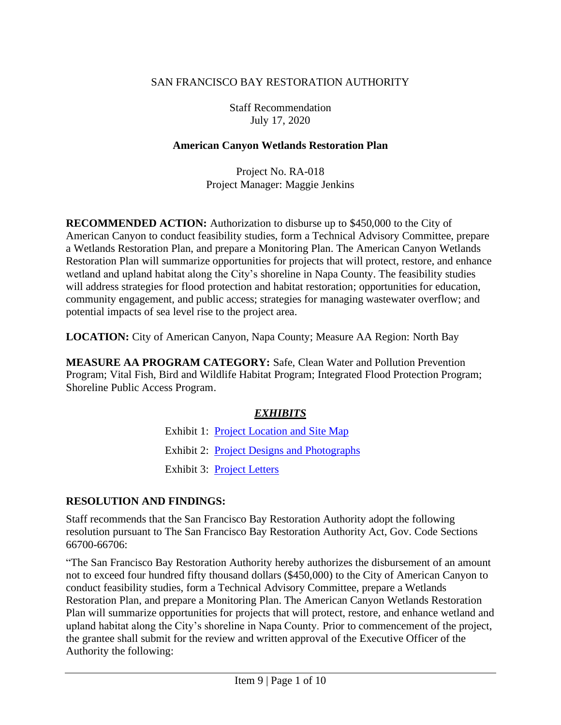## SAN FRANCISCO BAY RESTORATION AUTHORITY

Staff Recommendation July 17, 2020

### **American Canyon Wetlands Restoration Plan**

Project No. RA-018 Project Manager: Maggie Jenkins

**RECOMMENDED ACTION:** Authorization to disburse up to \$450,000 to the City of American Canyon to conduct feasibility studies, form a Technical Advisory Committee, prepare a Wetlands Restoration Plan, and prepare a Monitoring Plan. The American Canyon Wetlands Restoration Plan will summarize opportunities for projects that will protect, restore, and enhance wetland and upland habitat along the City's shoreline in Napa County. The feasibility studies will address strategies for flood protection and habitat restoration; opportunities for education, community engagement, and public access; strategies for managing wastewater overflow; and potential impacts of sea level rise to the project area.

**LOCATION:** City of American Canyon, Napa County; Measure AA Region: North Bay

**MEASURE AA PROGRAM CATEGORY:** Safe, Clean Water and Pollution Prevention Program; Vital Fish, Bird and Wildlife Habitat Program; Integrated Flood Protection Program; Shoreline Public Access Program.

# *EXHIBITS*

Exhibit 1: [Project Location and Site Map](http://sfbayrestore.org/sites/default/files/2020-07/AMERIC~1.PDF) Exhibit 2: [Project Designs and Photographs](http://sfbayrestore.org/sites/default/files/2020-07/AMERIC~2.PDF) Exhibit 3: [Project Letters](http://sfbayrestore.org/sites/default/files/2020-07/AMERIC~3.PDF)

# **RESOLUTION AND FINDINGS:**

Staff recommends that the San Francisco Bay Restoration Authority adopt the following resolution pursuant to The San Francisco Bay Restoration Authority Act, Gov. Code Sections 66700-66706:

"The San Francisco Bay Restoration Authority hereby authorizes the disbursement of an amount not to exceed four hundred fifty thousand dollars (\$450,000) to the City of American Canyon to conduct feasibility studies, form a Technical Advisory Committee, prepare a Wetlands Restoration Plan, and prepare a Monitoring Plan. The American Canyon Wetlands Restoration Plan will summarize opportunities for projects that will protect, restore, and enhance wetland and upland habitat along the City's shoreline in Napa County. Prior to commencement of the project, the grantee shall submit for the review and written approval of the Executive Officer of the Authority the following: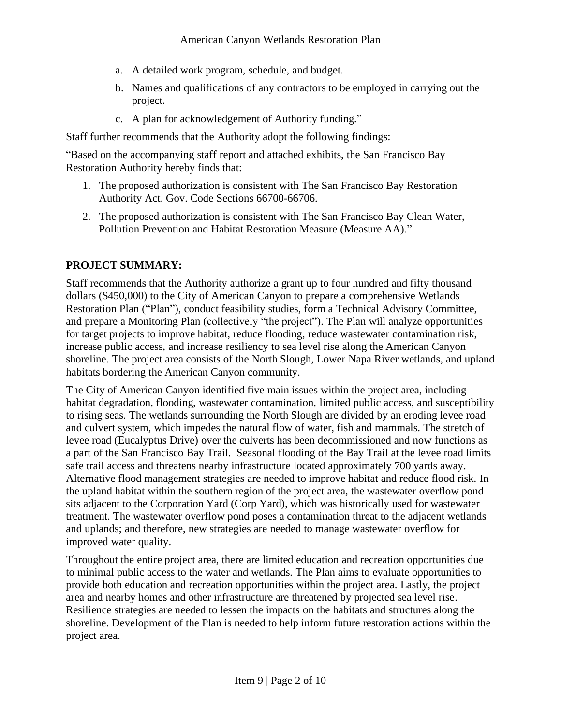- a. A detailed work program, schedule, and budget.
- b. Names and qualifications of any contractors to be employed in carrying out the project.
- c. A plan for acknowledgement of Authority funding."

Staff further recommends that the Authority adopt the following findings:

"Based on the accompanying staff report and attached exhibits, the San Francisco Bay Restoration Authority hereby finds that:

- 1. The proposed authorization is consistent with The San Francisco Bay Restoration Authority Act, Gov. Code Sections 66700-66706.
- 2. The proposed authorization is consistent with The San Francisco Bay Clean Water, Pollution Prevention and Habitat Restoration Measure (Measure AA)."

# **PROJECT SUMMARY:**

Staff recommends that the Authority authorize a grant up to four hundred and fifty thousand dollars (\$450,000) to the City of American Canyon to prepare a comprehensive Wetlands Restoration Plan ("Plan"), conduct feasibility studies, form a Technical Advisory Committee, and prepare a Monitoring Plan (collectively "the project"). The Plan will analyze opportunities for target projects to improve habitat, reduce flooding, reduce wastewater contamination risk, increase public access, and increase resiliency to sea level rise along the American Canyon shoreline. The project area consists of the North Slough, Lower Napa River wetlands, and upland habitats bordering the American Canyon community.

The City of American Canyon identified five main issues within the project area, including habitat degradation, flooding, wastewater contamination, limited public access, and susceptibility to rising seas. The wetlands surrounding the North Slough are divided by an eroding levee road and culvert system, which impedes the natural flow of water, fish and mammals. The stretch of levee road (Eucalyptus Drive) over the culverts has been decommissioned and now functions as a part of the San Francisco Bay Trail. Seasonal flooding of the Bay Trail at the levee road limits safe trail access and threatens nearby infrastructure located approximately 700 yards away. Alternative flood management strategies are needed to improve habitat and reduce flood risk. In the upland habitat within the southern region of the project area, the wastewater overflow pond sits adjacent to the Corporation Yard (Corp Yard), which was historically used for wastewater treatment. The wastewater overflow pond poses a contamination threat to the adjacent wetlands and uplands; and therefore, new strategies are needed to manage wastewater overflow for improved water quality.

Throughout the entire project area, there are limited education and recreation opportunities due to minimal public access to the water and wetlands. The Plan aims to evaluate opportunities to provide both education and recreation opportunities within the project area. Lastly, the project area and nearby homes and other infrastructure are threatened by projected sea level rise. Resilience strategies are needed to lessen the impacts on the habitats and structures along the shoreline. Development of the Plan is needed to help inform future restoration actions within the project area.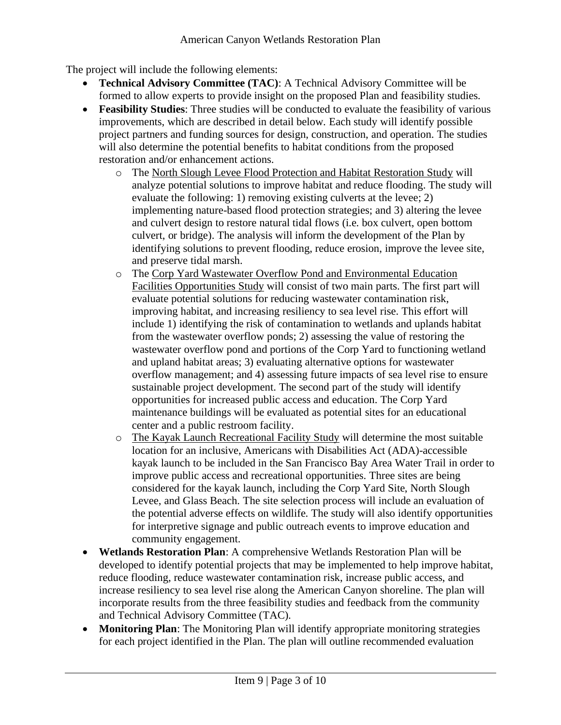The project will include the following elements:

- **Technical Advisory Committee (TAC)**: A Technical Advisory Committee will be formed to allow experts to provide insight on the proposed Plan and feasibility studies.
- **Feasibility Studies**: Three studies will be conducted to evaluate the feasibility of various improvements, which are described in detail below. Each study will identify possible project partners and funding sources for design, construction, and operation. The studies will also determine the potential benefits to habitat conditions from the proposed restoration and/or enhancement actions.
	- o The North Slough Levee Flood Protection and Habitat Restoration Study will analyze potential solutions to improve habitat and reduce flooding. The study will evaluate the following: 1) removing existing culverts at the levee; 2) implementing nature-based flood protection strategies; and 3) altering the levee and culvert design to restore natural tidal flows (i.e. box culvert, open bottom culvert, or bridge). The analysis will inform the development of the Plan by identifying solutions to prevent flooding, reduce erosion, improve the levee site, and preserve tidal marsh.
	- o The Corp Yard Wastewater Overflow Pond and Environmental Education Facilities Opportunities Study will consist of two main parts. The first part will evaluate potential solutions for reducing wastewater contamination risk, improving habitat, and increasing resiliency to sea level rise. This effort will include 1) identifying the risk of contamination to wetlands and uplands habitat from the wastewater overflow ponds; 2) assessing the value of restoring the wastewater overflow pond and portions of the Corp Yard to functioning wetland and upland habitat areas; 3) evaluating alternative options for wastewater overflow management; and 4) assessing future impacts of sea level rise to ensure sustainable project development. The second part of the study will identify opportunities for increased public access and education. The Corp Yard maintenance buildings will be evaluated as potential sites for an educational center and a public restroom facility.
	- o The Kayak Launch Recreational Facility Study will determine the most suitable location for an inclusive, Americans with Disabilities Act (ADA)-accessible kayak launch to be included in the San Francisco Bay Area Water Trail in order to improve public access and recreational opportunities. Three sites are being considered for the kayak launch, including the Corp Yard Site, North Slough Levee, and Glass Beach. The site selection process will include an evaluation of the potential adverse effects on wildlife. The study will also identify opportunities for interpretive signage and public outreach events to improve education and community engagement.
- **Wetlands Restoration Plan**: A comprehensive Wetlands Restoration Plan will be developed to identify potential projects that may be implemented to help improve habitat, reduce flooding, reduce wastewater contamination risk, increase public access, and increase resiliency to sea level rise along the American Canyon shoreline. The plan will incorporate results from the three feasibility studies and feedback from the community and Technical Advisory Committee (TAC).
- **Monitoring Plan**: The Monitoring Plan will identify appropriate monitoring strategies for each project identified in the Plan. The plan will outline recommended evaluation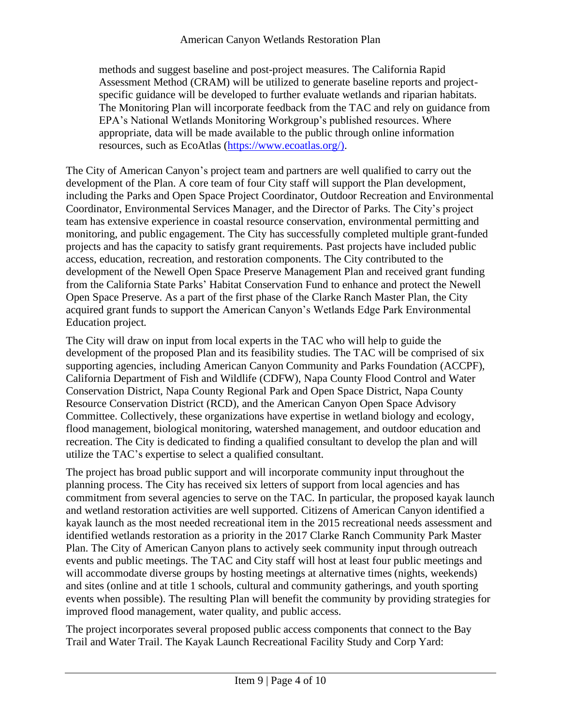methods and suggest baseline and post-project measures. The California Rapid Assessment Method (CRAM) will be utilized to generate baseline reports and projectspecific guidance will be developed to further evaluate wetlands and riparian habitats. The Monitoring Plan will incorporate feedback from the TAC and rely on guidance from EPA's National Wetlands Monitoring Workgroup's published resources. Where appropriate, data will be made available to the public through online information resources, such as EcoAtlas [\(https://www.ecoatlas.org/\)](https://www.ecoatlas.org/).

The City of American Canyon's project team and partners are well qualified to carry out the development of the Plan. A core team of four City staff will support the Plan development, including the Parks and Open Space Project Coordinator, Outdoor Recreation and Environmental Coordinator, Environmental Services Manager, and the Director of Parks. The City's project team has extensive experience in coastal resource conservation, environmental permitting and monitoring, and public engagement. The City has successfully completed multiple grant-funded projects and has the capacity to satisfy grant requirements. Past projects have included public access, education, recreation, and restoration components. The City contributed to the development of the Newell Open Space Preserve Management Plan and received grant funding from the California State Parks' Habitat Conservation Fund to enhance and protect the Newell Open Space Preserve. As a part of the first phase of the Clarke Ranch Master Plan, the City acquired grant funds to support the American Canyon's Wetlands Edge Park Environmental Education project.

The City will draw on input from local experts in the TAC who will help to guide the development of the proposed Plan and its feasibility studies. The TAC will be comprised of six supporting agencies, including American Canyon Community and Parks Foundation (ACCPF), California Department of Fish and Wildlife (CDFW), Napa County Flood Control and Water Conservation District, Napa County Regional Park and Open Space District, Napa County Resource Conservation District (RCD), and the American Canyon Open Space Advisory Committee. Collectively, these organizations have expertise in wetland biology and ecology, flood management, biological monitoring, watershed management, and outdoor education and recreation. The City is dedicated to finding a qualified consultant to develop the plan and will utilize the TAC's expertise to select a qualified consultant.

The project has broad public support and will incorporate community input throughout the planning process. The City has received six letters of support from local agencies and has commitment from several agencies to serve on the TAC. In particular, the proposed kayak launch and wetland restoration activities are well supported. Citizens of American Canyon identified a kayak launch as the most needed recreational item in the 2015 recreational needs assessment and identified wetlands restoration as a priority in the 2017 Clarke Ranch Community Park Master Plan. The City of American Canyon plans to actively seek community input through outreach events and public meetings. The TAC and City staff will host at least four public meetings and will accommodate diverse groups by hosting meetings at alternative times (nights, weekends) and sites (online and at title 1 schools, cultural and community gatherings, and youth sporting events when possible). The resulting Plan will benefit the community by providing strategies for improved flood management, water quality, and public access.

The project incorporates several proposed public access components that connect to the Bay Trail and Water Trail. The Kayak Launch Recreational Facility Study and Corp Yard: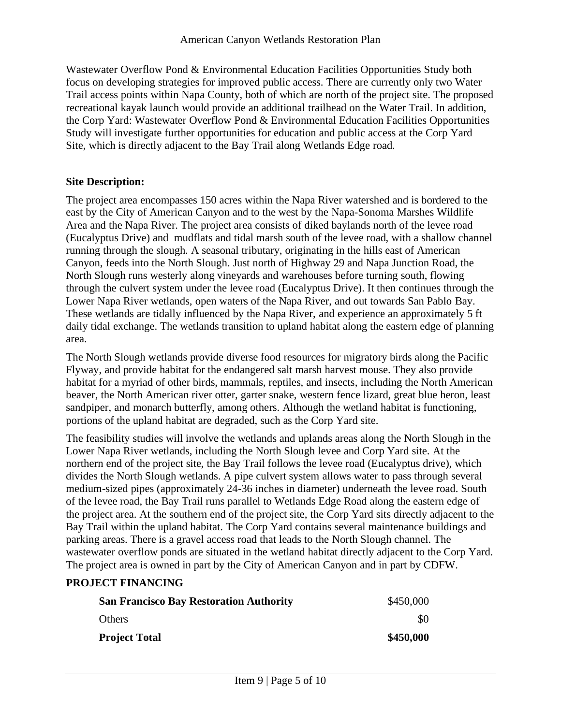Wastewater Overflow Pond & Environmental Education Facilities Opportunities Study both focus on developing strategies for improved public access. There are currently only two Water Trail access points within Napa County, both of which are north of the project site. The proposed recreational kayak launch would provide an additional trailhead on the Water Trail. In addition, the Corp Yard: Wastewater Overflow Pond & Environmental Education Facilities Opportunities Study will investigate further opportunities for education and public access at the Corp Yard Site, which is directly adjacent to the Bay Trail along Wetlands Edge road.

## **Site Description:**

The project area encompasses 150 acres within the Napa River watershed and is bordered to the east by the City of American Canyon and to the west by the Napa-Sonoma Marshes Wildlife Area and the Napa River. The project area consists of diked baylands north of the levee road (Eucalyptus Drive) and mudflats and tidal marsh south of the levee road, with a shallow channel running through the slough. A seasonal tributary, originating in the hills east of American Canyon, feeds into the North Slough. Just north of Highway 29 and Napa Junction Road, the North Slough runs westerly along vineyards and warehouses before turning south, flowing through the culvert system under the levee road (Eucalyptus Drive). It then continues through the Lower Napa River wetlands, open waters of the Napa River, and out towards San Pablo Bay. These wetlands are tidally influenced by the Napa River, and experience an approximately 5 ft daily tidal exchange. The wetlands transition to upland habitat along the eastern edge of planning area.

The North Slough wetlands provide diverse food resources for migratory birds along the Pacific Flyway, and provide habitat for the endangered salt marsh harvest mouse. They also provide habitat for a myriad of other birds, mammals, reptiles, and insects, including the North American beaver, the North American river otter, garter snake, western fence lizard, great blue heron, least sandpiper, and monarch butterfly, among others. Although the wetland habitat is functioning, portions of the upland habitat are degraded, such as the Corp Yard site.

The feasibility studies will involve the wetlands and uplands areas along the North Slough in the Lower Napa River wetlands, including the North Slough levee and Corp Yard site. At the northern end of the project site, the Bay Trail follows the levee road (Eucalyptus drive), which divides the North Slough wetlands. A pipe culvert system allows water to pass through several medium-sized pipes (approximately 24-36 inches in diameter) underneath the levee road. South of the levee road, the Bay Trail runs parallel to Wetlands Edge Road along the eastern edge of the project area. At the southern end of the project site, the Corp Yard sits directly adjacent to the Bay Trail within the upland habitat. The Corp Yard contains several maintenance buildings and parking areas. There is a gravel access road that leads to the North Slough channel. The wastewater overflow ponds are situated in the wetland habitat directly adjacent to the Corp Yard. The project area is owned in part by the City of American Canyon and in part by CDFW.

### **PROJECT FINANCING**

| <b>San Francisco Bay Restoration Authority</b> | \$450,000 |
|------------------------------------------------|-----------|
| <b>Others</b>                                  | \$0       |
| <b>Project Total</b>                           | \$450,000 |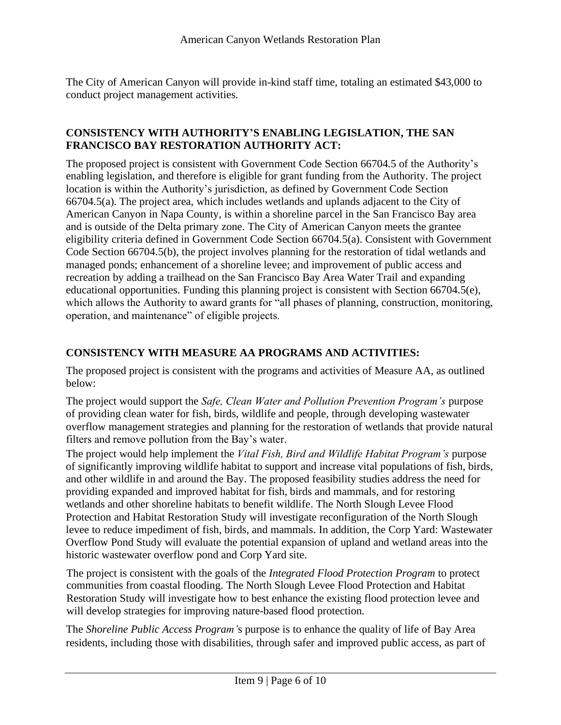The City of American Canyon will provide in-kind staff time, totaling an estimated \$43,000 to conduct project management activities.

#### **CONSISTENCY WITH AUTHORITY'S ENABLING LEGISLATION, THE SAN FRANCISCO BAY RESTORATION AUTHORITY ACT:**

The proposed project is consistent with Government Code Section 66704.5 of the Authority's enabling legislation, and therefore is eligible for grant funding from the Authority. The project location is within the Authority's jurisdiction, as defined by Government Code Section 66704.5(a). The project area, which includes wetlands and uplands adjacent to the City of American Canyon in Napa County, is within a shoreline parcel in the San Francisco Bay area and is outside of the Delta primary zone. The City of American Canyon meets the grantee eligibility criteria defined in Government Code Section 66704.5(a). Consistent with Government Code Section 66704.5(b), the project involves planning for the restoration of tidal wetlands and managed ponds; enhancement of a shoreline levee; and improvement of public access and recreation by adding a trailhead on the San Francisco Bay Area Water Trail and expanding educational opportunities. Funding this planning project is consistent with Section 66704.5(e), which allows the Authority to award grants for "all phases of planning, construction, monitoring, operation, and maintenance" of eligible projects.

## **CONSISTENCY WITH MEASURE AA PROGRAMS AND ACTIVITIES:**

The proposed project is consistent with the programs and activities of Measure AA, as outlined below:

The project would support the *Safe, Clean Water and Pollution Prevention Program's* purpose of providing clean water for fish, birds, wildlife and people, through developing wastewater overflow management strategies and planning for the restoration of wetlands that provide natural filters and remove pollution from the Bay's water.

The project would help implement the *Vital Fish, Bird and Wildlife Habitat Program's* purpose of significantly improving wildlife habitat to support and increase vital populations of fish, birds, and other wildlife in and around the Bay. The proposed feasibility studies address the need for providing expanded and improved habitat for fish, birds and mammals, and for restoring wetlands and other shoreline habitats to benefit wildlife. The North Slough Levee Flood Protection and Habitat Restoration Study will investigate reconfiguration of the North Slough levee to reduce impediment of fish, birds, and mammals. In addition, the Corp Yard: Wastewater Overflow Pond Study will evaluate the potential expansion of upland and wetland areas into the historic wastewater overflow pond and Corp Yard site.

The project is consistent with the goals of the *Integrated Flood Protection Program* to protect communities from coastal flooding. The North Slough Levee Flood Protection and Habitat Restoration Study will investigate how to best enhance the existing flood protection levee and will develop strategies for improving nature-based flood protection.

The *Shoreline Public Access Program'*s purpose is to enhance the quality of life of Bay Area residents, including those with disabilities, through safer and improved public access, as part of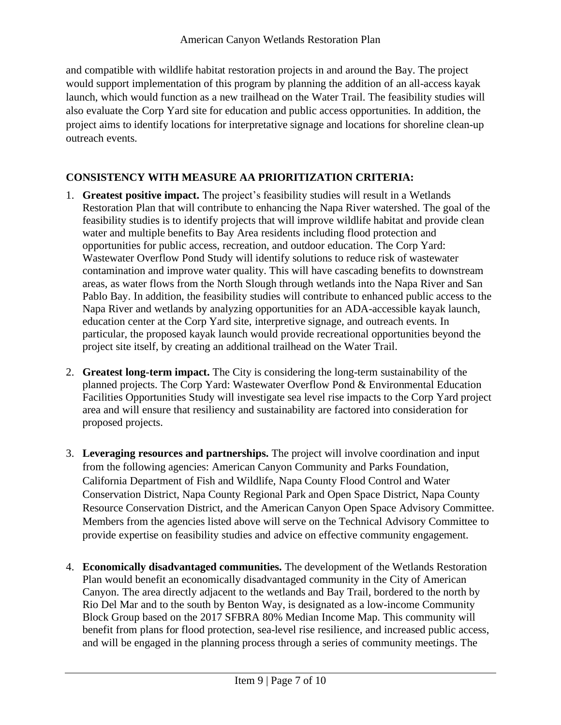and compatible with wildlife habitat restoration projects in and around the Bay. The project would support implementation of this program by planning the addition of an all-access kayak launch, which would function as a new trailhead on the Water Trail. The feasibility studies will also evaluate the Corp Yard site for education and public access opportunities. In addition, the project aims to identify locations for interpretative signage and locations for shoreline clean-up outreach events.

# **CONSISTENCY WITH MEASURE AA PRIORITIZATION CRITERIA:**

- 1. **Greatest positive impact.** The project's feasibility studies will result in a Wetlands Restoration Plan that will contribute to enhancing the Napa River watershed. The goal of the feasibility studies is to identify projects that will improve wildlife habitat and provide clean water and multiple benefits to Bay Area residents including flood protection and opportunities for public access, recreation, and outdoor education. The Corp Yard: Wastewater Overflow Pond Study will identify solutions to reduce risk of wastewater contamination and improve water quality. This will have cascading benefits to downstream areas, as water flows from the North Slough through wetlands into the Napa River and San Pablo Bay. In addition, the feasibility studies will contribute to enhanced public access to the Napa River and wetlands by analyzing opportunities for an ADA-accessible kayak launch, education center at the Corp Yard site, interpretive signage, and outreach events. In particular, the proposed kayak launch would provide recreational opportunities beyond the project site itself, by creating an additional trailhead on the Water Trail.
- 2. **Greatest long-term impact.** The City is considering the long-term sustainability of the planned projects. The Corp Yard: Wastewater Overflow Pond & Environmental Education Facilities Opportunities Study will investigate sea level rise impacts to the Corp Yard project area and will ensure that resiliency and sustainability are factored into consideration for proposed projects.
- 3. **Leveraging resources and partnerships.** The project will involve coordination and input from the following agencies: American Canyon Community and Parks Foundation, California Department of Fish and Wildlife, Napa County Flood Control and Water Conservation District, Napa County Regional Park and Open Space District, Napa County Resource Conservation District, and the American Canyon Open Space Advisory Committee. Members from the agencies listed above will serve on the Technical Advisory Committee to provide expertise on feasibility studies and advice on effective community engagement.
- 4. **Economically disadvantaged communities.** The development of the Wetlands Restoration Plan would benefit an economically disadvantaged community in the City of American Canyon. The area directly adjacent to the wetlands and Bay Trail, bordered to the north by Rio Del Mar and to the south by Benton Way, is designated as a low-income Community Block Group based on the 2017 SFBRA 80% Median Income Map. This community will benefit from plans for flood protection, sea-level rise resilience, and increased public access, and will be engaged in the planning process through a series of community meetings. The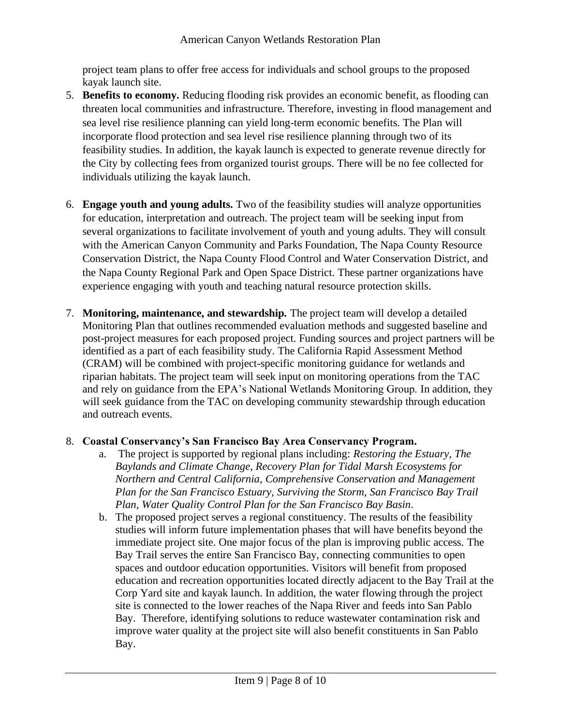project team plans to offer free access for individuals and school groups to the proposed kayak launch site.

- 5. **Benefits to economy.** Reducing flooding risk provides an economic benefit, as flooding can threaten local communities and infrastructure. Therefore, investing in flood management and sea level rise resilience planning can yield long-term economic benefits. The Plan will incorporate flood protection and sea level rise resilience planning through two of its feasibility studies. In addition, the kayak launch is expected to generate revenue directly for the City by collecting fees from organized tourist groups. There will be no fee collected for individuals utilizing the kayak launch.
- 6. **Engage youth and young adults.** Two of the feasibility studies will analyze opportunities for education, interpretation and outreach. The project team will be seeking input from several organizations to facilitate involvement of youth and young adults. They will consult with the American Canyon Community and Parks Foundation, The Napa County Resource Conservation District, the Napa County Flood Control and Water Conservation District, and the Napa County Regional Park and Open Space District. These partner organizations have experience engaging with youth and teaching natural resource protection skills.
- 7. **Monitoring, maintenance, and stewardship.** The project team will develop a detailed Monitoring Plan that outlines recommended evaluation methods and suggested baseline and post-project measures for each proposed project. Funding sources and project partners will be identified as a part of each feasibility study. The California Rapid Assessment Method (CRAM) will be combined with project-specific monitoring guidance for wetlands and riparian habitats. The project team will seek input on monitoring operations from the TAC and rely on guidance from the EPA's National Wetlands Monitoring Group. In addition, they will seek guidance from the TAC on developing community stewardship through education and outreach events.

### 8. **Coastal Conservancy's San Francisco Bay Area Conservancy Program.**

- a. The project is supported by regional plans including: *Restoring the Estuary, The Baylands and Climate Change, Recovery Plan for Tidal Marsh Ecosystems for Northern and Central California, Comprehensive Conservation and Management Plan for the San Francisco Estuary, Surviving the Storm, San Francisco Bay Trail Plan, Water Quality Control Plan for the San Francisco Bay Basin*.
- b. The proposed project serves a regional constituency. The results of the feasibility studies will inform future implementation phases that will have benefits beyond the immediate project site. One major focus of the plan is improving public access. The Bay Trail serves the entire San Francisco Bay, connecting communities to open spaces and outdoor education opportunities. Visitors will benefit from proposed education and recreation opportunities located directly adjacent to the Bay Trail at the Corp Yard site and kayak launch. In addition, the water flowing through the project site is connected to the lower reaches of the Napa River and feeds into San Pablo Bay. Therefore, identifying solutions to reduce wastewater contamination risk and improve water quality at the project site will also benefit constituents in San Pablo Bay.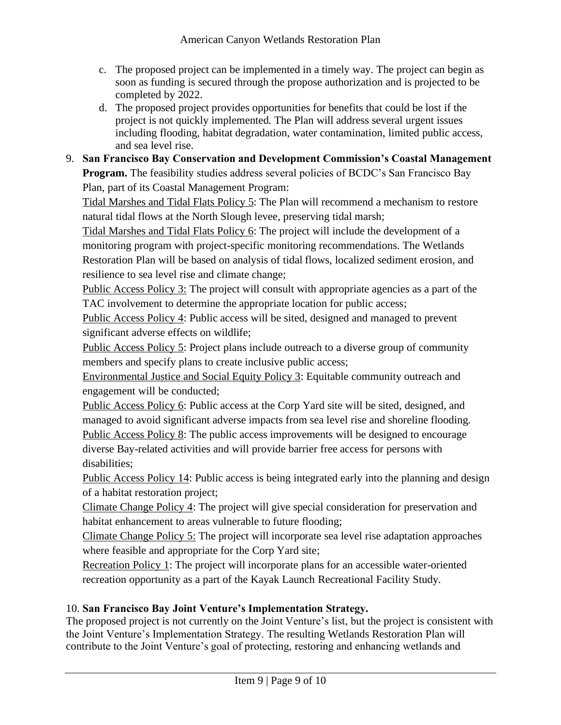- c. The proposed project can be implemented in a timely way. The project can begin as soon as funding is secured through the propose authorization and is projected to be completed by 2022.
- d. The proposed project provides opportunities for benefits that could be lost if the project is not quickly implemented. The Plan will address several urgent issues including flooding, habitat degradation, water contamination, limited public access, and sea level rise.

## 9. **San Francisco Bay Conservation and Development Commission's Coastal Management Program.** The feasibility studies address several policies of BCDC's San Francisco Bay Plan, part of its Coastal Management Program:

Tidal Marshes and Tidal Flats Policy 5: The Plan will recommend a mechanism to restore natural tidal flows at the North Slough levee, preserving tidal marsh;

Tidal Marshes and Tidal Flats Policy 6: The project will include the development of a monitoring program with project-specific monitoring recommendations. The Wetlands Restoration Plan will be based on analysis of tidal flows, localized sediment erosion, and resilience to sea level rise and climate change;

Public Access Policy 3: The project will consult with appropriate agencies as a part of the TAC involvement to determine the appropriate location for public access;

Public Access Policy 4: Public access will be sited, designed and managed to prevent significant adverse effects on wildlife;

Public Access Policy 5: Project plans include outreach to a diverse group of community members and specify plans to create inclusive public access;

Environmental Justice and Social Equity Policy 3: Equitable community outreach and engagement will be conducted;

Public Access Policy 6: Public access at the Corp Yard site will be sited, designed, and managed to avoid significant adverse impacts from sea level rise and shoreline flooding. Public Access Policy 8: The public access improvements will be designed to encourage diverse Bay-related activities and will provide barrier free access for persons with disabilities;

Public Access Policy 14: Public access is being integrated early into the planning and design of a habitat restoration project;

Climate Change Policy 4: The project will give special consideration for preservation and habitat enhancement to areas vulnerable to future flooding;

Climate Change Policy 5: The project will incorporate sea level rise adaptation approaches where feasible and appropriate for the Corp Yard site;

Recreation Policy 1: The project will incorporate plans for an accessible water-oriented recreation opportunity as a part of the Kayak Launch Recreational Facility Study.

# 10. **San Francisco Bay Joint Venture's Implementation Strategy.**

The proposed project is not currently on the Joint Venture's list, but the project is consistent with the Joint Venture's Implementation Strategy. The resulting Wetlands Restoration Plan will contribute to the Joint Venture's goal of protecting, restoring and enhancing wetlands and